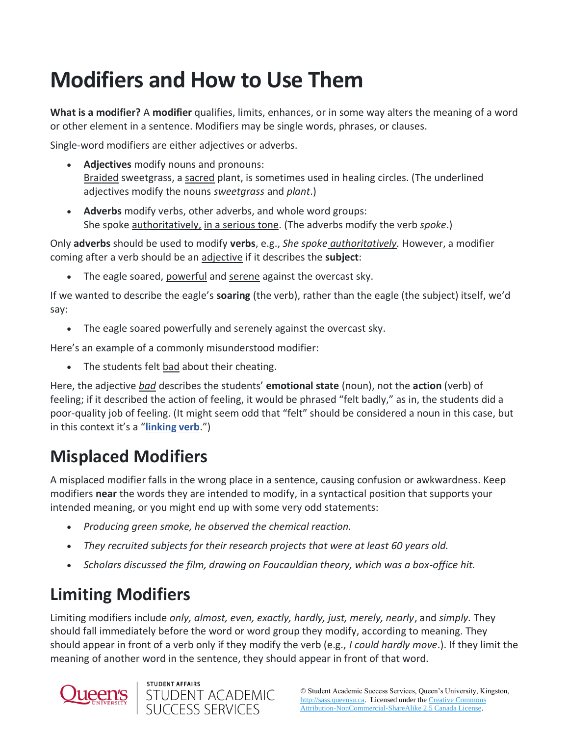# **Modifiers and How to Use Them**

**What is a modifier?** A **modifier** qualifies, limits, enhances, or in some way alters the meaning of a word or other element in a sentence. Modifiers may be single words, phrases, or clauses.

Single-word modifiers are either adjectives or adverbs.

- **Adjectives** modify nouns and pronouns: Braided sweetgrass, a sacred plant, is sometimes used in healing circles. (The underlined adjectives modify the nouns *sweetgrass* and *plant*.)
- **Adverbs** modify verbs, other adverbs, and whole word groups: She spoke authoritatively, in a serious tone. (The adverbs modify the verb *spoke*.)

Only **adverbs** should be used to modify **verbs**, e.g., *She spoke authoritatively.* However, a modifier coming after a verb should be an adjective if it describes the **subject**:

The eagle soared, powerful and serene against the overcast sky.

If we wanted to describe the eagle's **soaring** (the verb), rather than the eagle (the subject) itself, we'd say:

• The eagle soared powerfully and serenely against the overcast sky.

Here's an example of a commonly misunderstood modifier:

• The students felt bad about their cheating.

Here, the adjective *bad* describes the students' **emotional state** (noun), not the **action** (verb) of feeling; if it described the action of feeling, it would be phrased "felt badly," as in, the students did a poor-quality job of feeling. (It might seem odd that "felt" should be considered a noun in this case, but in this context it's a "**[linking verb](https://www.grammarbook.com/blog/verbs/what-is-a-linking-verb/)**.")

# **Misplaced Modifiers**

A misplaced modifier falls in the wrong place in a sentence, causing confusion or awkwardness. Keep modifiers **near** the words they are intended to modify, in a syntactical position that supports your intended meaning, or you might end up with some very odd statements:

- *Producing green smoke, he observed the chemical reaction.*
- *They recruited subjects for their research projects that were at least 60 years old.*
- *Scholars discussed the film, drawing on Foucauldian theory, which was a box-office hit.*

### **Limiting Modifiers**

Limiting modifiers include *only, almost, even, exactly, hardly, just, merely, nearly*, and *simply.* They should fall immediately before the word or word group they modify, according to meaning. They should appear in front of a verb only if they modify the verb (e.g., *I could hardly move*.). If they limit the meaning of another word in the sentence, they should appear in front of that word.



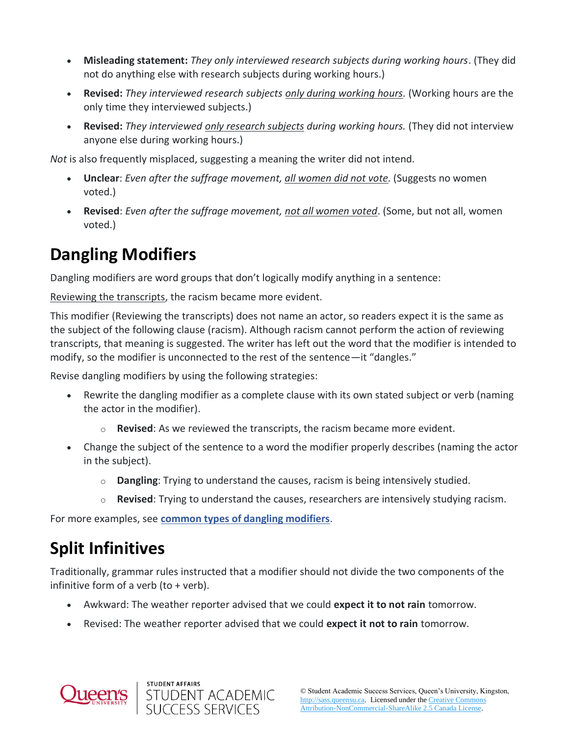- **Misleading statement:** *They only interviewed research subjects during working hours*. (They did not do anything else with research subjects during working hours.)
- **Revised:** *They interviewed research subjects only during working hours.* (Working hours are the only time they interviewed subjects.)
- **Revised:** *They interviewed only research subjects during working hours.* (They did not interview anyone else during working hours.)

*Not* is also frequently misplaced, suggesting a meaning the writer did not intend.

- **Unclear**: *Even after the suffrage movement, all women did not vote.* (Suggests no women voted.)
- **Revised**: *Even after the suffrage movement, not all women voted*. (Some, but not all, women voted.)

#### **Dangling Modifiers**

Dangling modifiers are word groups that don't logically modify anything in a sentence:

Reviewing the transcripts, the racism became more evident.

This modifier (Reviewing the transcripts) does not name an actor, so readers expect it is the same as the subject of the following clause (racism). Although racism cannot perform the action of reviewing transcripts, that meaning is suggested. The writer has left out the word that the modifier is intended to modify, so the modifier is unconnected to the rest of the sentence—it "dangles."

Revise dangling modifiers by using the following strategies:

- Rewrite the dangling modifier as a complete clause with its own stated subject or verb (naming the actor in the modifier).
	- $\circ$  **Revised**: As we reviewed the transcripts, the racism became more evident.
- Change the subject of the sentence to a word the modifier properly describes (naming the actor in the subject).
	- o **Dangling**: Trying to understand the causes, racism is being intensively studied.
	- o **Revised**: Trying to understand the causes, researchers are intensively studying racism.

For more examples, see **[common types of dangling modifiers](http://bcs.bedfordstmartins.com/webpub/English/Pocket6e/Writing%20center%20resources/Resources%20for%20writers/Helpsheets/Hacker-Help-Grammar-3.pdf)**.

# **Split Infinitives**

Traditionally, grammar rules instructed that a modifier should not divide the two components of the infinitive form of a verb (to + verb).

- Awkward: The weather reporter advised that we could **expect it to not rain** tomorrow.
- Revised: The weather reporter advised that we could **expect it not to rain** tomorrow.